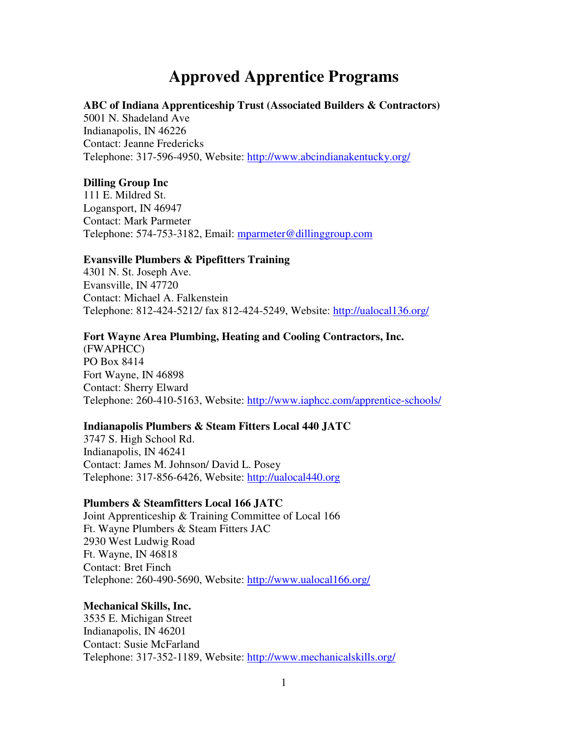# **Approved Apprentice Programs**

## **ABC of Indiana Apprenticeship Trust (Associated Builders & Contractors)**

5001 N. Shadeland Ave Indianapolis, IN 46226 Contact: Jeanne Fredericks Telephone: 317-596-4950, Website: http://www.abcindianakentucky.org/

#### **Dilling Group Inc**

111 E. Mildred St. Logansport, IN 46947 Contact: Mark Parmeter Telephone: 574-753-3182, Email: mparmeter@dillinggroup.com

## **Evansville Plumbers & Pipefitters Training**

4301 N. St. Joseph Ave. Evansville, IN 47720 Contact: Michael A. Falkenstein Telephone: 812-424-5212/ fax 812-424-5249, Website: http://ualocal136.org/

# **Fort Wayne Area Plumbing, Heating and Cooling Contractors, Inc.**

(FWAPHCC) PO Box 8414 Fort Wayne, IN 46898 Contact: Sherry Elward Telephone: 260-410-5163, Website: http://www.iaphcc.com/apprentice-schools/

### **Indianapolis Plumbers & Steam Fitters Local 440 JATC**

3747 S. High School Rd. Indianapolis, IN 46241 Contact: James M. Johnson/ David L. Posey Telephone: 317-856-6426, Website: http://ualocal440.org

#### **Plumbers & Steamfitters Local 166 JATC**

Joint Apprenticeship & Training Committee of Local 166 Ft. Wayne Plumbers & Steam Fitters JAC 2930 West Ludwig Road Ft. Wayne, IN 46818 Contact: Bret Finch Telephone: 260-490-5690, Website: http://www.ualocal166.org/

#### **Mechanical Skills, Inc.**

3535 E. Michigan Street Indianapolis, IN 46201 Contact: Susie McFarland Telephone: 317-352-1189, Website: http://www.mechanicalskills.org/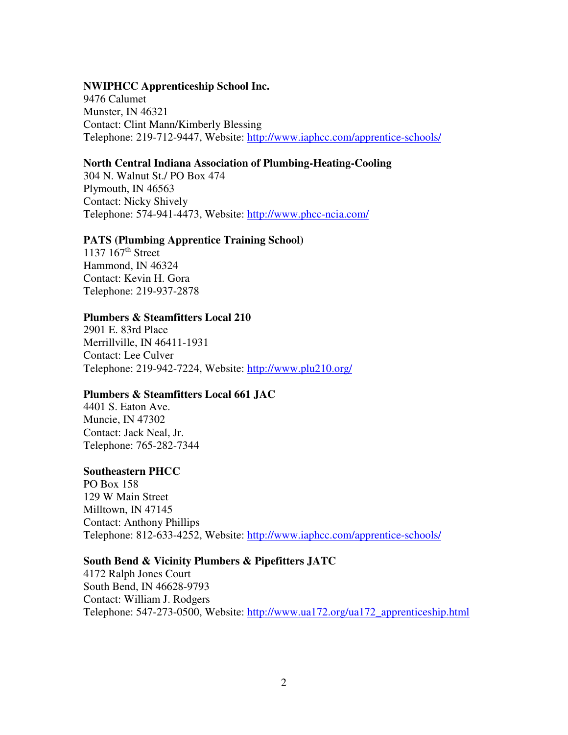## **NWIPHCC Apprenticeship School Inc.**

9476 Calumet Munster, IN 46321 Contact: Clint Mann/Kimberly Blessing Telephone: 219-712-9447, Website: http://www.iaphcc.com/apprentice-schools/

# **North Central Indiana Association of Plumbing-Heating-Cooling**

304 N. Walnut St./ PO Box 474 Plymouth, IN 46563 Contact: Nicky Shively Telephone: 574-941-4473, Website: http://www.phcc-ncia.com/

## **PATS (Plumbing Apprentice Training School)**

1137 167<sup>th</sup> Street Hammond, IN 46324 Contact: Kevin H. Gora Telephone: 219-937-2878

# **Plumbers & Steamfitters Local 210**

2901 E. 83rd Place Merrillville, IN 46411-1931 Contact: Lee Culver Telephone: 219-942-7224, Website: http://www.plu210.org/

# **Plumbers & Steamfitters Local 661 JAC**

4401 S. Eaton Ave. Muncie, IN 47302 Contact: Jack Neal, Jr. Telephone: 765-282-7344

### **Southeastern PHCC**

PO Box 158 129 W Main Street Milltown, IN 47145 Contact: Anthony Phillips Telephone: 812-633-4252, Website: http://www.iaphcc.com/apprentice-schools/

# **South Bend & Vicinity Plumbers & Pipefitters JATC**

4172 Ralph Jones Court South Bend, IN 46628-9793 Contact: William J. Rodgers Telephone: 547-273-0500, Website: http://www.ua172.org/ua172\_apprenticeship.html